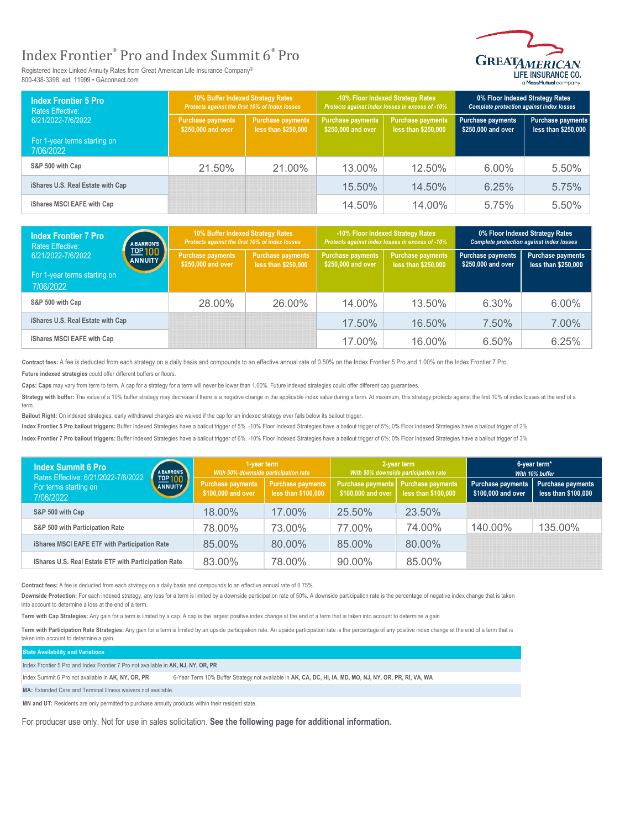## Index Frontier® Pro and Index Summit 6® Pro

Registered Index-Linked Annuity Rates from Great American Life Insurance Company® 800-438-3398, ext. 11999 • GAconnect.com



| <b>Index Frontier 5 Pro</b><br><b>Rates Effective:</b><br>6/21/2022-7/6/2022 | 10% Buffer Indexed Strategy Rates<br>Protects against the first 10% of index losses |                                                 | -10% Floor Indexed Strategy Rates<br>Protects against index losses in excess of -10% |                                                 | 0% Floor Indexed Strategy Rates<br><b>Complete protection against index losses</b> |                                          |
|------------------------------------------------------------------------------|-------------------------------------------------------------------------------------|-------------------------------------------------|--------------------------------------------------------------------------------------|-------------------------------------------------|------------------------------------------------------------------------------------|------------------------------------------|
|                                                                              | <b>Purchase payments</b><br>\$250,000 and over                                      | <b>Purchase payments</b><br>less than \$250,000 | Purchase payments<br>\$250,000 and over                                              | <b>Purchase payments</b><br>less than \$250,000 | <b>Purchase payments</b><br>\$250,000 and over                                     | Purchase payments<br>less than \$250,000 |
| For 1-year terms starting on<br>7/06/2022                                    |                                                                                     |                                                 |                                                                                      |                                                 |                                                                                    |                                          |
| S&P 500 with Cap                                                             | 21.50%                                                                              | $21.00\%$                                       | 13.00%                                                                               | $12.50\%$                                       | $6.00\%$                                                                           | 5.50%                                    |
| iShares U.S. Real Estate with Cap                                            |                                                                                     |                                                 | 15.50%                                                                               | $14.50\%$                                       | 6.25%                                                                              | 5.75%                                    |
| iShares MSCI EAFE with Cap                                                   |                                                                                     |                                                 | 14.50%                                                                               | $14.00\%$                                       | 5.75%                                                                              | 5.50%                                    |

| <b>Index Frontier 7 Pro</b><br><b>Rates Effective:</b><br>6/21/2022-7/6/2022 | <b>ABARRON'S</b><br>TOP 100<br><b>ANNUITY</b> | 10% Buffer Indexed Strategy Rates<br>Protects against the first 10% of index losses |                                          | -10% Floor Indexed Strategy Rates<br>Protects against index losses in excess of -10% |                                          | 0% Floor Indexed Strategy Rates<br><b>Complete protection against index losses</b> |                                          |
|------------------------------------------------------------------------------|-----------------------------------------------|-------------------------------------------------------------------------------------|------------------------------------------|--------------------------------------------------------------------------------------|------------------------------------------|------------------------------------------------------------------------------------|------------------------------------------|
|                                                                              |                                               | <b>Purchase payments</b><br>\$250,000 and over                                      | Purchase payments<br>less than \$250,000 | <b>Purchase payments</b><br>\$250,000 and over                                       | Purchase payments<br>less than \$250,000 | <b>Purchase payments</b><br>\$250,000 and over                                     | Purchase payments<br>less than \$250,000 |
| For 1-year terms starting on<br>7/06/2022                                    |                                               |                                                                                     |                                          |                                                                                      |                                          |                                                                                    |                                          |
| S&P 500 with Cap                                                             |                                               | 28.00%                                                                              | 26.00%                                   | 14.00%                                                                               | 13.50%                                   | 6.30%                                                                              | $6.00\%$                                 |
| iShares U.S. Real Estate with Cap                                            |                                               |                                                                                     |                                          | 17.50%                                                                               | 16.50%                                   | 7.50%                                                                              | 7.00%                                    |
| iShares MSCI EAFE with Cap                                                   |                                               |                                                                                     |                                          | 17.00%                                                                               | 16.00%                                   | 6.50%                                                                              | 6.25%                                    |

Contract fees: A fee is deducted from each strategy on a daily basis and compounds to an effective annual rate of 0.50% on the Index Frontier 5 Pro and 1.00% on the Index Frontier 7 Pro.

**Future indexed strategies** could offer different buffers or floors.

**Caps: Caps** may vary from term to term. A cap for a strategy for a term will never be lower than 1.00%. Future indexed strategies could offer different cap guarantees.

Strategy with buffer: The value of a 10% buffer strategy may decrease if there is a negative change in the applicable index value during a term. At maximum, this strategy protects against the first 10% of index losses at t term.

**Bailout Right:** On indexed strategies, early withdrawal charges are waived if the cap for an indexed strategy ever falls below its bailout trigger.

Index Frontier 5 Pro bailout triggers: Buffer Indexed Strategies have a bailout trigger of 5%. -10% Floor Indexed Strategies have a bailout bigger of 5%; 0% Floor Indexed Strategies have a bailout trigger of 2%

Index Frontier 7 Pro bailout triggers: Buffer Indexed Strategies have a bailout trigger of 6%. -10% Floor Indexed Strategies have a bailout bigger of 5%; 0% Floor Indexed Strategies have a bailout trigger of 3%

| <b>Index Summit 6 Pro</b><br><b>ABARRON'S</b><br>Rates Effective: 6/21/2022-7/6/2022 | 1-year term<br>With 50% downside participation rate |                                          | 2-year term<br>With 50% downside participation rate       |                     | 6-year term*<br>With 10% buffer                 |                                          |
|--------------------------------------------------------------------------------------|-----------------------------------------------------|------------------------------------------|-----------------------------------------------------------|---------------------|-------------------------------------------------|------------------------------------------|
| TOP 100<br><b>ANNUITY</b><br>For terms starting on<br>7/06/2022                      | Purchase payments<br>\$100,000 and over             | Purchase payments<br>less than \$100,000 | Purchase payments Purchase payments<br>\$100,000 and over | less than \$100,000 | <b>Purchase payments</b><br>$$100,000$ and over | Purchase payments<br>less than \$100,000 |
| S&P 500 with Cap                                                                     | 18.00%                                              | 17.00%                                   | $25.50\%$                                                 | 23.50%              |                                                 |                                          |
| S&P 500 with Participation Rate                                                      | 78.00%                                              | 73.00%                                   | 77.00%                                                    | 74.00%              | 140.00%                                         | 135.00%                                  |
| iShares MSCI EAFE ETF with Participation Rate                                        | 85.00%                                              | 80.00%                                   | 85.00%                                                    | 80.00%              |                                                 |                                          |
| iShares U.S. Real Estate ETF with Participation Rate                                 | 83.00%                                              | 78.00%                                   | $90.00\%$                                                 | 85.00%              |                                                 |                                          |

**Contract fees:** A fee is deducted from each strategy on a daily basis and compounds to an effective annual rate of 0.75%.

Downside Protection: For each indexed strategy, any loss for a term is limited by a downside participation rate of 50%. A downside participation rate is the percentage of negative index change that is taken into account to determine a loss at the end of a term.

**Term with Cap Strategies:** Any gain for a term is limited by a cap. A cap is the largest positive index change at the end of a term that is taken into account to determine a gain

Term with Participation Rate Strategies: Any gain for a term is limited by an upside participation rate. An upside participation rate is the percentage of any positive index change at the end of a term that is taken into account to determine a gain.

## **State Availability and Variations**

Index Frontier 5 Pro and Index Frontier 7 Pro not available in **AK, NJ, NY, OR, PR**

Index Summit 6 Pro not available in **AK, NY, OR, PR** 6-Year Term 10% Buffer Strategy not available in **AK, CA, DC, HI, IA, MD, MO, NJ, NY, OR, PR, RI, VA, WA**

**MA:** Extended Care and Terminal Illness waivers not available.

**MN and UT:** Residents are only permitted to purchase annuity products within their resident state.

For producer use only. Not for use in sales solicitation. **See the following page for additional information.**